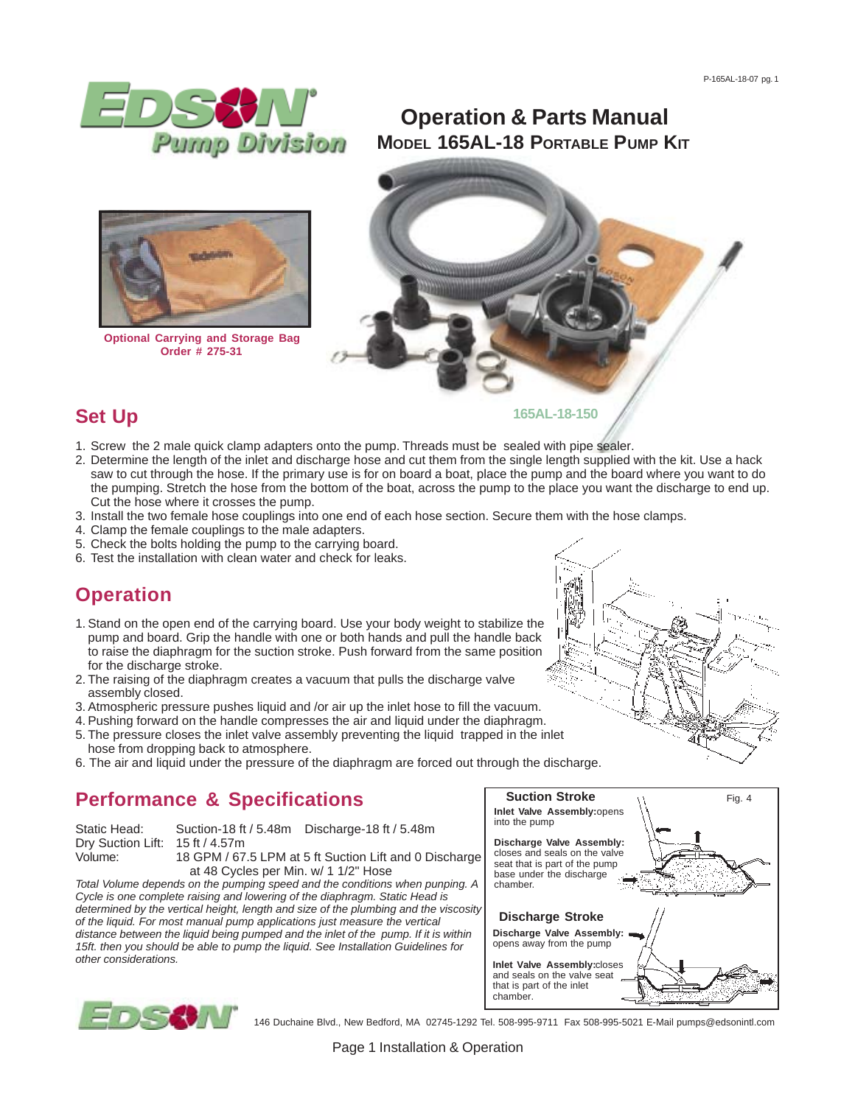

# **MODEL 165AL-18 PORTABLE PUMP KIT Operation & Parts Manual**



**Optional Carrying and Storage Bag Order # 275-31**



### **Set Up**

- 1. Screw the 2 male quick clamp adapters onto the pump. Threads must be sealed with pipe sealer.
- 2. Determine the length of the inlet and discharge hose and cut them from the single length supplied with the kit. Use a hack saw to cut through the hose. If the primary use is for on board a boat, place the pump and the board where you want to do the pumping. Stretch the hose from the bottom of the boat, across the pump to the place you want the discharge to end up. Cut the hose where it crosses the pump.
- 3. Install the two female hose couplings into one end of each hose section. Secure them with the hose clamps.
- 4. Clamp the female couplings to the male adapters.
- 5. Check the bolts holding the pump to the carrying board.
- 6. Test the installation with clean water and check for leaks.

# **Operation**

- 1. Stand on the open end of the carrying board. Use your body weight to stabilize the pump and board. Grip the handle with one or both hands and pull the handle back to raise the diaphragm for the suction stroke. Push forward from the same position for the discharge stroke.
- 2. The raising of the diaphragm creates a vacuum that pulls the discharge valve assembly closed.
- 3. Atmospheric pressure pushes liquid and /or air up the inlet hose to fill the vacuum.
- 4. Pushing forward on the handle compresses the air and liquid under the diaphragm.
- 5. The pressure closes the inlet valve assembly preventing the liquid trapped in the inlet hose from dropping back to atmosphere.
- 6. The air and liquid under the pressure of the diaphragm are forced out through the discharge.

# **Performance & Specifications**

| Static Head:                    | Suction-18 ft / 5.48m                                  | Discharge-18 ft $/$ 5.48m |  |
|---------------------------------|--------------------------------------------------------|---------------------------|--|
| Dry Suction Lift: 15 ft / 4.57m |                                                        |                           |  |
| Volume:                         | 18 GPM / 67.5 LPM at 5 ft Suction Lift and 0 Discharge |                           |  |

 at 48 Cycles per Min. w/ 1 1/2" Hose *Total Volume depends on the pumping speed and the conditions when punping. A Cycle is one complete raising and lowering of the diaphragm. Static Head is determined by the vertical height, length and size of the plumbing and the viscosity of the liquid. For most manual pump applications just measure the vertical distance between the liquid being pumped and the inlet of the pump. If it is within 15ft. then you should be able to pump the liquid. See Installation Guidelines for other considerations.*





146 Duchaine Blvd., New Bedford, MA 02745-1292 Tel. 508-995-9711 Fax 508-995-5021 E-Mail pumps@edsonintl.com